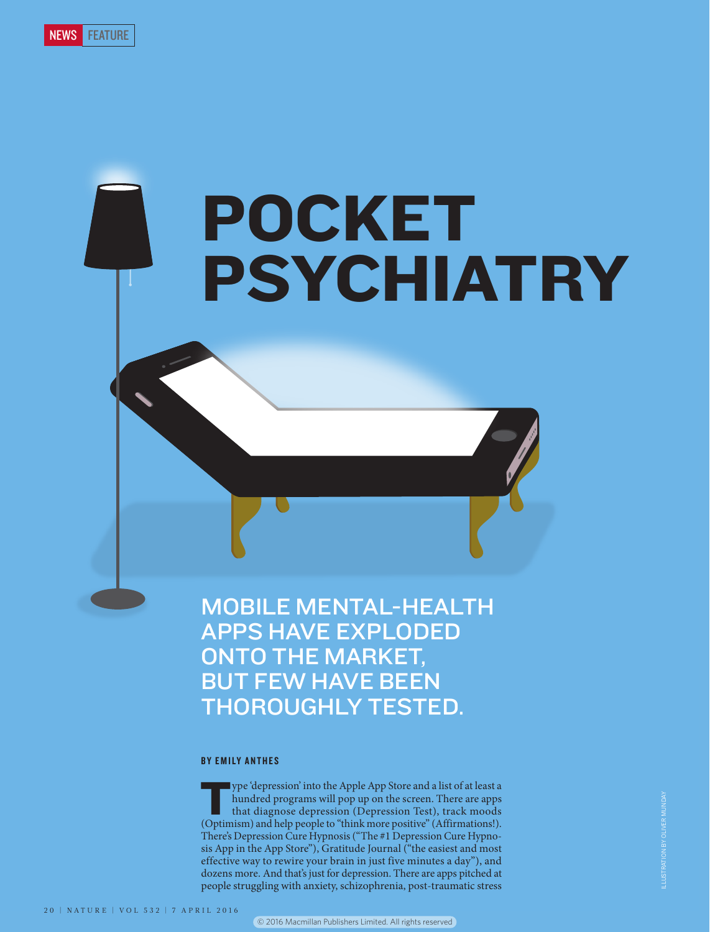# POCKET PSYCHIATRY

MOBILE MENTAL-HEALTH APPS HAVE EXPLODED ONTO THE MARKET, BUT FEW HAVE BEEN THOROUGHLY TESTED.

## BY EMILY ANTHES

Type 'depression' into the Apple App Store and a list of at least a hundred programs will pop up on the screen. There are apps that diagnose depression (Depression Test), track moods (Optimism) and help people to "think more positive" (Affirmations!). There's Depression Cure Hypnosis ("The #1 Depression Cure Hypnosis App in the App Store"), Gratitude Journal ("the easiest and most effective way to rewire your brain in just five minutes a day"), and dozens more. And that's just for depression. There are apps pitched at people struggling with anxiety, schizophrenia, post-traumatic stress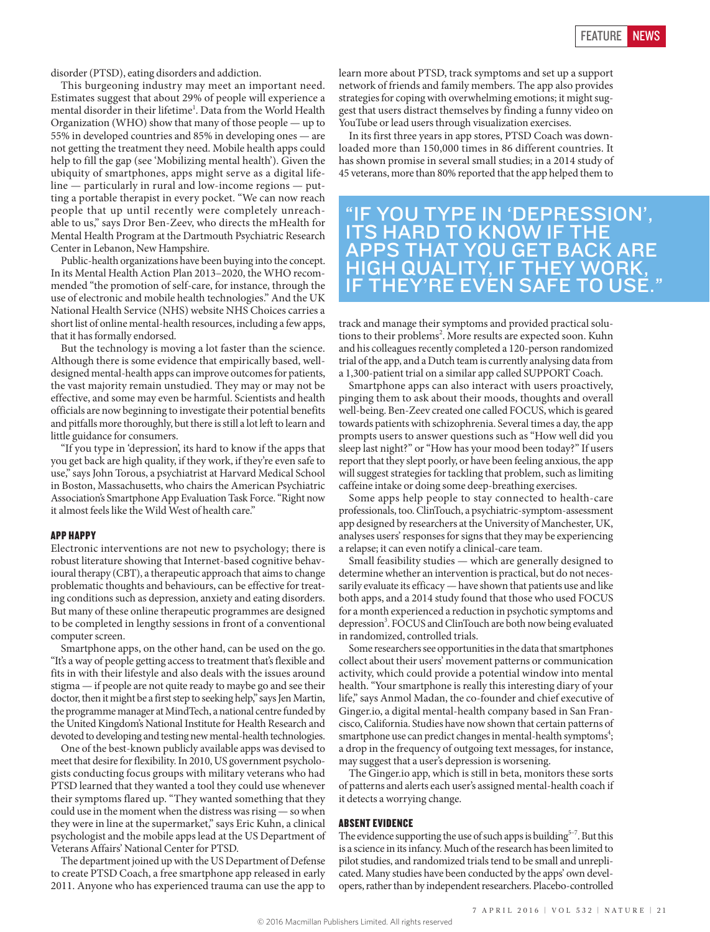disorder (PTSD), eating disorders and addiction.

This burgeoning industry may meet an important need. Estimates suggest that about 29% of people will experience a mental disorder in their lifetime<sup>1</sup>. Data from the World Health Organization (WHO) show that many of those people — up to 55% in developed countries and 85% in developing ones — are not getting the treatment they need. Mobile health apps could help to fill the gap (see 'Mobilizing mental health'). Given the ubiquity of smartphones, apps might serve as a digital lifeline — particularly in rural and low-income regions — putting a portable therapist in every pocket. "We can now reach people that up until recently were completely unreachable to us," says Dror Ben-Zeev, who directs the mHealth for Mental Health Program at the Dartmouth Psychiatric Research Center in Lebanon, New Hampshire.

Public-health organizations have been buying into the concept. In its Mental Health Action Plan 2013–2020, the WHO recommended "the promotion of self-care, for instance, through the use of electronic and mobile health technologies." And the UK National Health Service (NHS) website NHS Choices carries a short list of online mental-health resources, including a few apps, that it has formally endorsed.

But the technology is moving a lot faster than the science. Although there is some evidence that empirically based, welldesigned mental-health apps can improve outcomes for patients, the vast majority remain unstudied. They may or may not be effective, and some may even be harmful. Scientists and health officials are now beginning to investigate their potential benefits and pitfalls more thoroughly, but there is still a lot left to learn and little guidance for consumers.

"If you type in 'depression', its hard to know if the apps that you get back are high quality, if they work, if they're even safe to use," says John Torous, a psychiatrist at Harvard Medical School in Boston, Massachusetts, who chairs the American Psychiatric Association's Smartphone App Evaluation Task Force. "Right now it almost feels like the Wild West of health care."

### APP HAPPY

Electronic interventions are not new to psychology; there is robust literature showing that Internet-based cognitive behavioural therapy (CBT), a therapeutic approach that aims to change problematic thoughts and behaviours, can be effective for treating conditions such as depression, anxiety and eating disorders. But many of these online therapeutic programmes are designed to be completed in lengthy sessions in front of a conventional computer screen.

Smartphone apps, on the other hand, can be used on the go. "It's a way of people getting access to treatment that's flexible and fits in with their lifestyle and also deals with the issues around stigma — if people are not quite ready to maybe go and see their doctor, then it might be a first step to seeking help," says Jen Martin, the programme manager at MindTech, a national centre funded by the United Kingdom's National Institute for Health Research and devoted to developing and testing new mental-health technologies.

One of the best-known publicly available apps was devised to meet that desire for flexibility. In 2010, US government psychologists conducting focus groups with military veterans who had PTSD learned that they wanted a tool they could use whenever their symptoms flared up. "They wanted something that they could use in the moment when the distress was rising — so when they were in line at the supermarket," says Eric Kuhn, a clinical psychologist and the mobile apps lead at the US Department of Veterans Affairs' National Center for PTSD.

The department joined up with the US Department of Defense to create PTSD Coach, a free smartphone app released in early 2011. Anyone who has experienced trauma can use the app to learn more about PTSD, track symptoms and set up a support network of friends and family members. The app also provides strategies for coping with overwhelming emotions; it might suggest that users distract themselves by finding a funny video on YouTube or lead users through visualization exercises.

In its first three years in app stores, PTSD Coach was downloaded more than 150,000 times in 86 different countries. It has shown promise in several small studies; in a 2014 study of 45 veterans, more than 80% reported that the app helped them to

## "IF YOU TYPE IN 'DEPRESSION', ITS HARD TO KNOW IF THE APPS THAT YOU GET BACK ARE HIGH QUALITY, IF THEY WORK, IF THEY'RE EVEN SAFE TO USE."

track and manage their symptoms and provided practical solutions to their problems<sup>2</sup>. More results are expected soon. Kuhn and his colleagues recently completed a 120-person randomized trial of the app, and a Dutch team is currently analysing data from a 1,300-patient trial on a similar app called SUPPORT Coach.

Smartphone apps can also interact with users proactively, pinging them to ask about their moods, thoughts and overall well-being. Ben-Zeev created one called FOCUS, which is geared towards patients with schizophrenia. Several times a day, the app prompts users to answer questions such as "How well did you sleep last night?" or "How has your mood been today?" If users report that they slept poorly, or have been feeling anxious, the app will suggest strategies for tackling that problem, such as limiting caffeine intake or doing some deep-breathing exercises.

Some apps help people to stay connected to health-care professionals, too. ClinTouch, a psychiatric-symptom-assessment app designed by researchers at the University of Manchester, UK, analyses users' responses for signs that they may be experiencing a relapse; it can even notify a clinical-care team.

Small feasibility studies — which are generally designed to determine whether an intervention is practical, but do not necessarily evaluate its efficacy — have shown that patients use and like both apps, and a 2014 study found that those who used FOCUS for a month experienced a reduction in psychotic symptoms and depression<sup>3</sup>. FOCUS and ClinTouch are both now being evaluated in randomized, controlled trials.

Some researchers see opportunities in the data that smartphones collect about their users' movement patterns or communication activity, which could provide a potential window into mental health. "Your smartphone is really this interesting diary of your life," says Anmol Madan, the co-founder and chief executive of Ginger.io, a digital mental-health company based in San Francisco, California. Studies have now shown that certain patterns of smartphone use can predict changes in mental-health symptoms<sup>4</sup>; a drop in the frequency of outgoing text messages, for instance, may suggest that a user's depression is worsening.

The Ginger.io app, which is still in beta, monitors these sorts of patterns and alerts each user's assigned mental-health coach if it detects a worrying change.

## ABSENT EVIDENCE

The evidence supporting the use of such apps is building<sup>5-7</sup>. But this is a science in its infancy. Much of the research has been limited to pilot studies, and randomized trials tend to be small and unreplicated. Many studies have been conducted by the apps' own developers, rather than by independent researchers. Placebo-controlled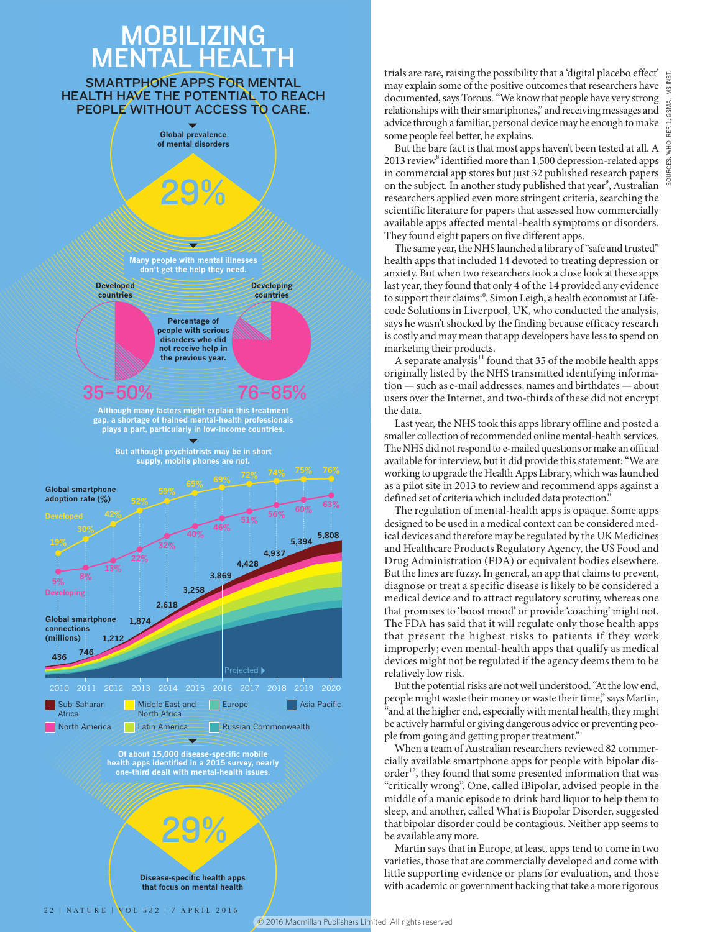# **MOBILIZING** MENTAL HEALTH

## SMARTPHONE APPS FOR MENTAL HEALTH HAVE THE POTENTIAL TO REACH PEOPLE WITHOUT ACCESS TO CARE.



trials are rare, raising the possibility that a 'digital placebo effect' may explain some of the positive outcomes that researchers have documented, says Torous."We know that people have very strong relationships with their smartphones," and receiving messages and advice through a familiar, personal device may be enough to make some people feel better, he explains.

But the bare fact is that most apps haven't been tested at all. A 2013 review<sup>8</sup> identified more than 1,500 depression-related apps in commercial app stores but just 32 published research papers on the subject. In another study published that year<sup>9</sup>, Australian researchers applied even more stringent criteria, searching the scientific literature for papers that assessed how commercially available apps affected mental-health symptoms or disorders. They found eight papers on five different apps.

The same year, the NHS launched a library of "safe and trusted" health apps that included 14 devoted to treating depression or anxiety. But when two researchers took a close look at these apps last year, they found that only 4 of the 14 provided any evidence to support their claims<sup>10</sup>. Simon Leigh, a health economist at Lifecode Solutions in Liverpool, UK, who conducted the analysis, says he wasn't shocked by the finding because efficacy research is costly and may mean that app developers have less to spend on marketing their products.

A separate analysis<sup>11</sup> found that 35 of the mobile health apps originally listed by the NHS transmitted identifying information — such as e-mail addresses, names and birthdates — about users over the Internet, and two-thirds of these did not encrypt the data.

Last year, the NHS took this apps library offline and posted a smaller collection of recommended online mental-health services. The NHS did not respond to e-mailed questions or make an official available for interview, but it did provide this statement: "We are working to upgrade the Health Apps Library, which was launched as a pilot site in 2013 to review and recommend apps against a defined set of criteria which included data protection."

The regulation of mental-health apps is opaque. Some apps designed to be used in a medical context can be considered medical devices and therefore may be regulated by the UK Medicines and Healthcare Products Regulatory Agency, the US Food and Drug Administration (FDA) or equivalent bodies elsewhere. But the lines are fuzzy. In general, an app that claims to prevent, diagnose or treat a specific disease is likely to be considered a medical device and to attract regulatory scrutiny, whereas one that promises to 'boost mood' or provide 'coaching' might not. The FDA has said that it will regulate only those health apps that present the highest risks to patients if they work improperly; even mental-health apps that qualify as medical devices might not be regulated if the agency deems them to be relatively low risk.

But the potential risks are not well understood. "At the low end, people might waste their money or waste their time," says Martin, "and at the higher end, especially with mental health, they might be actively harmful or giving dangerous advice or preventing people from going and getting proper treatment."

When a team of Australian researchers reviewed 82 commercially available smartphone apps for people with bipolar disorder<sup>12</sup>, they found that some presented information that was "critically wrong". One, called iBipolar, advised people in the middle of a manic episode to drink hard liquor to help them to sleep, and another, called What is Biopolar Disorder, suggested that bipolar disorder could be contagious. Neither app seems to be available any more.

Martin says that in Europe, at least, apps tend to come in two varieties, those that are commercially developed and come with little supporting evidence or plans for evaluation, and those with academic or government backing that take a more rigorous